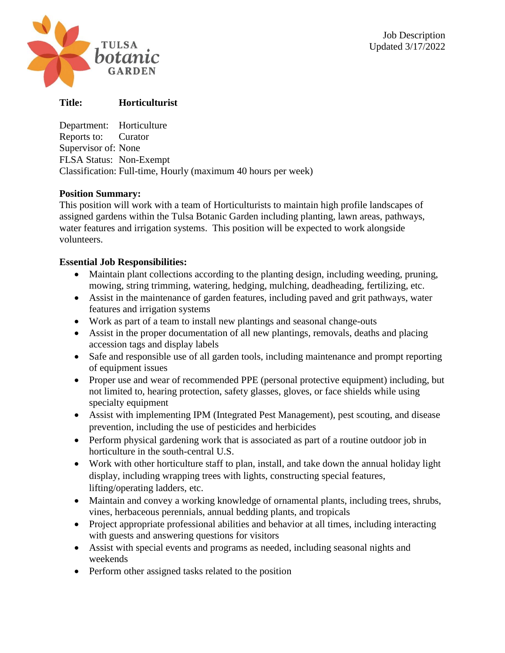

# **Title: Horticulturist**

Department: Horticulture Reports to: Curator Supervisor of: None FLSA Status: Non-Exempt Classification: Full-time, Hourly (maximum 40 hours per week)

### **Position Summary:**

This position will work with a team of Horticulturists to maintain high profile landscapes of assigned gardens within the Tulsa Botanic Garden including planting, lawn areas, pathways, water features and irrigation systems. This position will be expected to work alongside volunteers.

## **Essential Job Responsibilities:**

- Maintain plant collections according to the planting design, including weeding, pruning, mowing, string trimming, watering, hedging, mulching, deadheading, fertilizing, etc.
- Assist in the maintenance of garden features, including paved and grit pathways, water features and irrigation systems
- Work as part of a team to install new plantings and seasonal change-outs
- Assist in the proper documentation of all new plantings, removals, deaths and placing accession tags and display labels
- Safe and responsible use of all garden tools, including maintenance and prompt reporting of equipment issues
- Proper use and wear of recommended PPE (personal protective equipment) including, but not limited to, hearing protection, safety glasses, gloves, or face shields while using specialty equipment
- Assist with implementing IPM (Integrated Pest Management), pest scouting, and disease prevention, including the use of pesticides and herbicides
- Perform physical gardening work that is associated as part of a routine outdoor job in horticulture in the south-central U.S.
- Work with other horticulture staff to plan, install, and take down the annual holiday light display, including wrapping trees with lights, constructing special features, lifting/operating ladders, etc.
- Maintain and convey a working knowledge of ornamental plants, including trees, shrubs, vines, herbaceous perennials, annual bedding plants, and tropicals
- Project appropriate professional abilities and behavior at all times, including interacting with guests and answering questions for visitors
- Assist with special events and programs as needed, including seasonal nights and weekends
- Perform other assigned tasks related to the position